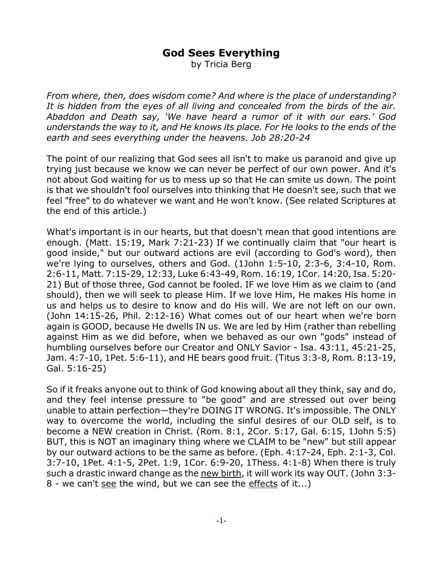## **God Sees Everything**

by Tricia Berg

*From where, then, does wisdom come? And where is the place of understanding? It is hidden from the eyes of all living and concealed from the birds of the air. Abaddon and Death say, 'We have heard a rumor of it with our ears.' God understands the way to it, and He knows its place. For He looks to the ends of the earth and sees everything under the heavens. Job 28:20-24*

The point of our realizing that God sees all isn't to make us paranoid and give up trying just because we know we can never be perfect of our own power. And it's not about God waiting for us to mess up so that He can smite us down. The point is that we shouldn't fool ourselves into thinking that He doesn't see, such that we feel "free" to do whatever we want and He won't know. (See related Scriptures at the end of this article.)

What's important is in our hearts, but that doesn't mean that good intentions are enough. (Matt. 15:19, Mark 7:21-23) If we continually claim that "our heart is good inside," but our outward actions are evil (according to God's word), then we're lying to ourselves, others and God. (1John 1:5-10, 2:3-6, 3:4-10, Rom. 2:6-11, Matt. 7:15-29, 12:33, Luke 6:43-49, Rom. 16:19, 1Cor. 14:20, Isa. 5:20- 21) But of those three, God cannot be fooled. IF we love Him as we claim to (and should), then we will seek to please Him. If we love Him, He makes His home in us and helps us to desire to know and do His will. We are not left on our own. (John 14:15-26, Phil. 2:12-16) What comes out of our heart when we're born again is GOOD, because He dwells IN us. We are led by Him (rather than rebelling against Him as we did before, when we behaved as our own "gods" instead of humbling ourselves before our Creator and ONLY Savior - Isa. 43:11, 45:21-25, Jam. 4:7-10, 1Pet. 5:6-11), and HE bears good fruit. (Titus 3:3-8, Rom. 8:13-19, Gal. 5:16-25)

So if it freaks anyone out to think of God knowing about all they think, say and do, and they feel intense pressure to "be good" and are stressed out over being unable to attain perfection—they're DOING IT WRONG. It's impossible. The ONLY way to overcome the world, including the sinful desires of our OLD self, is to become a NEW creation in Christ. (Rom. 8:1, 2Cor. 5:17, Gal. 6:15, 1John 5:5) BUT, this is NOT an imaginary thing where we CLAIM to be "new" but still appear by our outward actions to be the same as before. (Eph. 4:17-24, Eph. 2:1-3, Col. 3:7-10, 1Pet. 4:1-5, 2Pet. 1:9, 1Cor. 6:9-20, 1Thess. 4:1-8) When there is truly such a drastic inward change as the new birth, it will work its way OUT. (John 3:3- 8 - we can't see the wind, but we can see the effects of it...)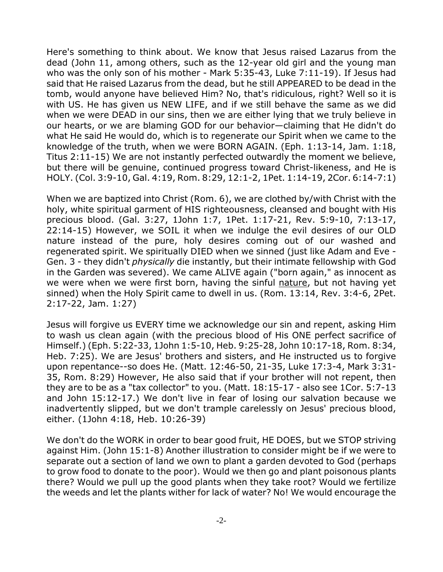Here's something to think about. We know that Jesus raised Lazarus from the dead (John 11, among others, such as the 12-year old girl and the young man who was the only son of his mother - Mark 5:35-43, Luke 7:11-19). If Jesus had said that He raised Lazarus from the dead, but he still APPEARED to be dead in the tomb, would anyone have believed Him? No, that's ridiculous, right? Well so it is with US. He has given us NEW LIFE, and if we still behave the same as we did when we were DEAD in our sins, then we are either lying that we truly believe in our hearts, or we are blaming GOD for our behavior—claiming that He didn't do what He said He would do, which is to regenerate our Spirit when we came to the knowledge of the truth, when we were BORN AGAIN. (Eph. 1:13-14, Jam. 1:18, Titus 2:11-15) We are not instantly perfected outwardly the moment we believe, but there will be genuine, continued progress toward Christ-likeness, and He is HOLY. (Col. 3:9-10, Gal. 4:19, Rom. 8:29, 12:1-2, 1Pet. 1:14-19, 2Cor. 6:14-7:1)

When we are baptized into Christ (Rom. 6), we are clothed by/with Christ with the holy, white spiritual garment of HIS righteousness, cleansed and bought with His precious blood. (Gal. 3:27, 1John 1:7, 1Pet. 1:17-21, Rev. 5:9-10, 7:13-17, 22:14-15) However, we SOIL it when we indulge the evil desires of our OLD nature instead of the pure, holy desires coming out of our washed and regenerated spirit. We spiritually DIED when we sinned (just like Adam and Eve - Gen. 3 - they didn't *physically* die instantly, but their intimate fellowship with God in the Garden was severed). We came ALIVE again ("born again," as innocent as we were when we were first born, having the sinful nature, but not having yet sinned) when the Holy Spirit came to dwell in us. (Rom. 13:14, Rev. 3:4-6, 2Pet. 2:17-22, Jam. 1:27)

Jesus will forgive us EVERY time we acknowledge our sin and repent, asking Him to wash us clean again (with the precious blood of His ONE perfect sacrifice of Himself.) (Eph. 5:22-33, 1John 1:5-10, Heb. 9:25-28, John 10:17-18, Rom. 8:34, Heb. 7:25). We are Jesus' brothers and sisters, and He instructed us to forgive upon repentance--so does He. (Matt. 12:46-50, 21-35, Luke 17:3-4, Mark 3:31- 35, Rom. 8:29) However, He also said that if your brother will not repent, then they are to be as a "tax collector" to you. (Matt. 18:15-17 - also see 1Cor. 5:7-13 and John 15:12-17.) We don't live in fear of losing our salvation because we inadvertently slipped, but we don't trample carelessly on Jesus' precious blood, either. (1John 4:18, Heb. 10:26-39)

We don't do the WORK in order to bear good fruit, HE DOES, but we STOP striving against Him. (John 15:1-8) Another illustration to consider might be if we were to separate out a section of land we own to plant a garden devoted to God (perhaps to grow food to donate to the poor). Would we then go and plant poisonous plants there? Would we pull up the good plants when they take root? Would we fertilize the weeds and let the plants wither for lack of water? No! We would encourage the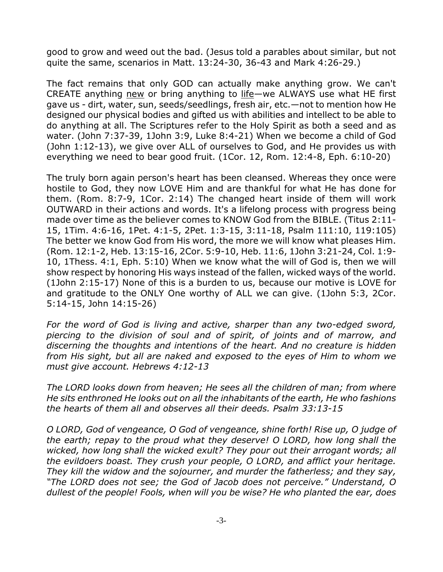good to grow and weed out the bad. (Jesus told a parables about similar, but not quite the same, scenarios in Matt. 13:24-30, 36-43 and Mark 4:26-29.)

The fact remains that only GOD can actually make anything grow. We can't CREATE anything new or bring anything to life—we ALWAYS use what HE first gave us - dirt, water, sun, seeds/seedlings, fresh air, etc.—not to mention how He designed our physical bodies and gifted us with abilities and intellect to be able to do anything at all. The Scriptures refer to the Holy Spirit as both a seed and as water. (John 7:37-39, 1John 3:9, Luke 8:4-21) When we become a child of God (John 1:12-13), we give over ALL of ourselves to God, and He provides us with everything we need to bear good fruit. (1Cor. 12, Rom. 12:4-8, Eph. 6:10-20)

The truly born again person's heart has been cleansed. Whereas they once were hostile to God, they now LOVE Him and are thankful for what He has done for them. (Rom. 8:7-9, 1Cor. 2:14) The changed heart inside of them will work OUTWARD in their actions and words. It's a lifelong process with progress being made over time as the believer comes to KNOW God from the BIBLE. (Titus 2:11- 15, 1Tim. 4:6-16, 1Pet. 4:1-5, 2Pet. 1:3-15, 3:11-18, Psalm 111:10, 119:105) The better we know God from His word, the more we will know what pleases Him. (Rom. 12:1-2, Heb. 13:15-16, 2Cor. 5:9-10, Heb. 11:6, 1John 3:21-24, Col. 1:9- 10, 1Thess. 4:1, Eph. 5:10) When we know what the will of God is, then we will show respect by honoring His ways instead of the fallen, wicked ways of the world. (1John 2:15-17) None of this is a burden to us, because our motive is LOVE for and gratitude to the ONLY One worthy of ALL we can give. (1John 5:3, 2Cor. 5:14-15, John 14:15-26)

*For the word of God is living and active, sharper than any two-edged sword, piercing to the division of soul and of spirit, of joints and of marrow, and discerning the thoughts and intentions of the heart. And no creature is hidden from His sight, but all are naked and exposed to the eyes of Him to whom we must give account. Hebrews 4:12-13*

*The LORD looks down from heaven; He sees all the children of man; from where He sits enthroned He looks out on all the inhabitants of the earth, He who fashions the hearts of them all and observes all their deeds. Psalm 33:13-15*

*O LORD, God of vengeance, O God of vengeance, shine forth! Rise up, O judge of the earth; repay to the proud what they deserve! O LORD, how long shall the wicked, how long shall the wicked exult? They pour out their arrogant words; all the evildoers boast. They crush your people, O LORD, and afflict your heritage. They kill the widow and the sojourner, and murder the fatherless; and they say, "The LORD does not see; the God of Jacob does not perceive." Understand, O dullest of the people! Fools, when will you be wise? He who planted the ear, does*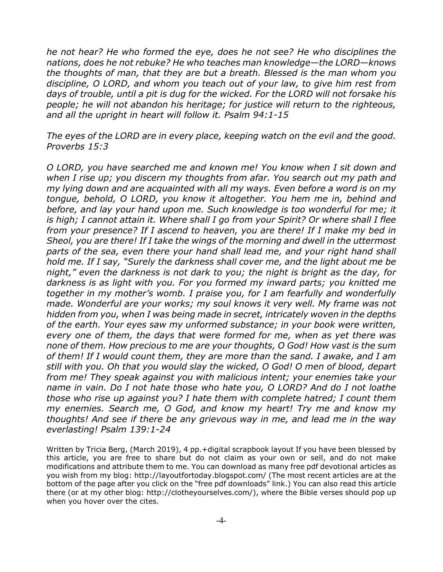*he not hear? He who formed the eye, does he not see? He who disciplines the nations, does he not rebuke? He who teaches man knowledge—the LORD—knows the thoughts of man, that they are but a breath. Blessed is the man whom you discipline, O LORD, and whom you teach out of your law, to give him rest from days of trouble, until a pit is dug for the wicked. For the LORD will not forsake his people; he will not abandon his heritage; for justice will return to the righteous, and all the upright in heart will follow it. Psalm 94:1-15*

*The eyes of the LORD are in every place, keeping watch on the evil and the good. Proverbs 15:3*

*O LORD, you have searched me and known me! You know when I sit down and when I rise up; you discern my thoughts from afar. You search out my path and my lying down and are acquainted with all my ways. Even before a word is on my tongue, behold, O LORD, you know it altogether. You hem me in, behind and before, and lay your hand upon me. Such knowledge is too wonderful for me; it is high; I cannot attain it. Where shall I go from your Spirit? Or where shall I flee from your presence? If I ascend to heaven, you are there! If I make my bed in Sheol, you are there! If I take the wings of the morning and dwell in the uttermost parts of the sea, even there your hand shall lead me, and your right hand shall hold me. If I say, "Surely the darkness shall cover me, and the light about me be night," even the darkness is not dark to you; the night is bright as the day, for darkness is as light with you. For you formed my inward parts; you knitted me together in my mother's womb. I praise you, for I am fearfully and wonderfully made. Wonderful are your works; my soul knows it very well. My frame was not hidden from you, when I was being made in secret, intricately woven in the depths of the earth. Your eyes saw my unformed substance; in your book were written, every one of them, the days that were formed for me, when as yet there was none of them. How precious to me are your thoughts, O God! How vast is the sum of them! If I would count them, they are more than the sand. I awake, and I am still with you. Oh that you would slay the wicked, O God! O men of blood, depart from me! They speak against you with malicious intent; your enemies take your name in vain. Do I not hate those who hate you, O LORD? And do I not loathe those who rise up against you? I hate them with complete hatred; I count them my enemies. Search me, O God, and know my heart! Try me and know my thoughts! And see if there be any grievous way in me, and lead me in the way everlasting! Psalm 139:1-24*

Written by Tricia Berg, (March 2019), 4 pp.+digital scrapbook layout If you have been blessed by this article, you are free to share but do not claim as your own or sell, and do not make modifications and attribute them to me. You can download as many free pdf devotional articles as you wish from my blog: http://layoutfortoday.blogspot.com/ (The most recent articles are at the bottom of the page after you click on the "free pdf downloads" link.) You can also read this article there (or at my other blog: http://clotheyourselves.com/), where the Bible verses should pop up when you hover over the cites.